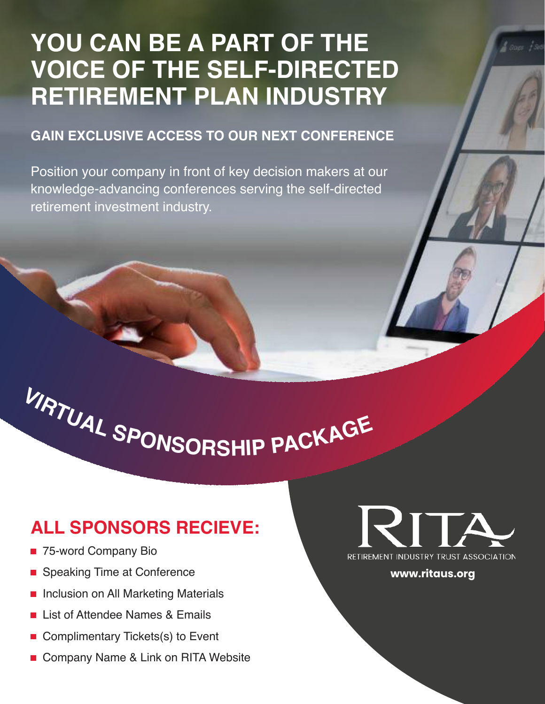# **YOU CAN BE A PART OF THE VOICE OF THE SELF-DIRECTED RETIREMENT PLAN INDUSTRY**

#### **GAIN EXCLUSIVE ACCESS TO OUR NEXT CONFERENCE**

Position your company in front of key decision makers at our knowledge-advancing conferences serving the self-directed retirement investment industry.

# **<sup>V</sup>IRTUA<sup>L</sup> <sup>S</sup>PONSORSHI<sup>P</sup> <sup>P</sup>ACKAG<sup>E</sup>**

# **ALL SPONSORS RECIEVE:**

- 75-word Company Bio
- **Speaking Time at Conference**
- **Inclusion on All Marketing Materials**
- List of Attendee Names & Emails
- Complimentary Tickets(s) to Event
- Company Name & Link on RITA Website



**www.ritaus.org**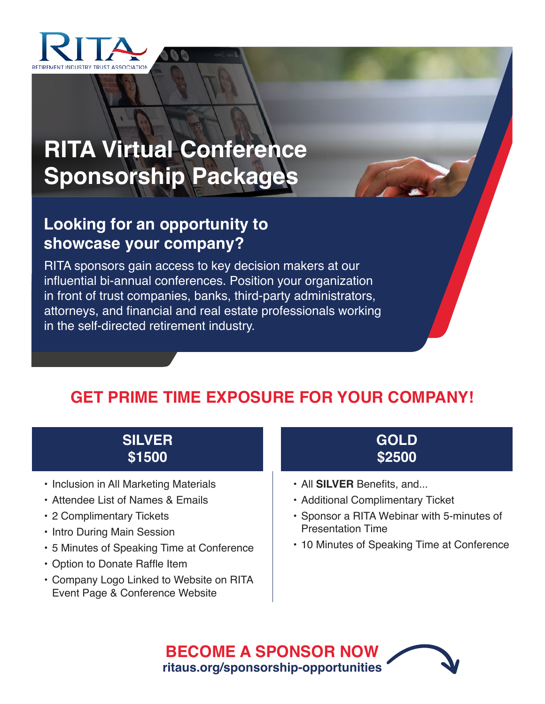

# **RITA Virtual Conference Sponsorship Packages**

## **Looking for an opportunity to showcase your company?**

RITA sponsors gain access to key decision makers at our influential bi-annual conferences. Position your organization in front of trust companies, banks, third-party administrators, attorneys, and financial and real estate professionals working in the self-directed retirement industry.

## **GET PRIME TIME EXPOSURE FOR YOUR COMPANY!**

### **SILVER \$1500**

- Inclusion in All Marketing Materials
- Attendee List of Names & Emails
- 2 Complimentary Tickets
- Intro During Main Session
- 5 Minutes of Speaking Time at Conference
- Option to Donate Raffle Item
- Company Logo Linked to Website on RITA Event Page & Conference Website



- All **SILVER** Benefits, and...
- Additional Complimentary Ticket
- Sponsor a RITA Webinar with 5-minutes of Presentation Time
- 10 Minutes of Speaking Time at Conference

**BECOME A SPONSOR NOW ritaus.org/sponsorship-opportunities**